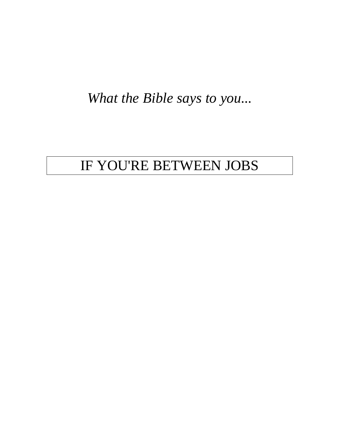*What the Bible says to you...*

# IF YOU'RE BETWEEN JOBS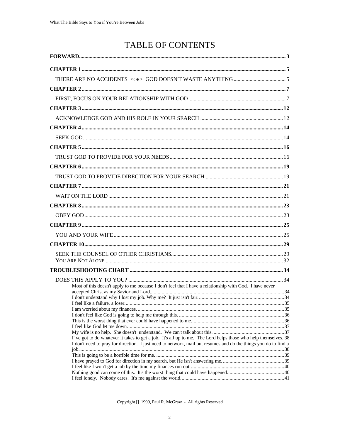# **TABLE OF CONTENTS**

| Most of this doesn't apply to me because I don't feel that I have a relationship with God. I have never         |  |
|-----------------------------------------------------------------------------------------------------------------|--|
|                                                                                                                 |  |
|                                                                                                                 |  |
|                                                                                                                 |  |
|                                                                                                                 |  |
|                                                                                                                 |  |
| I' ve got to do whatever it takes to get a job. It's all up to me. The Lord helps those who help themselves. 38 |  |
| I don't need to pray for direction. I just need to network, mail out resumes and do the things you do to find a |  |
|                                                                                                                 |  |
|                                                                                                                 |  |
|                                                                                                                 |  |
|                                                                                                                 |  |

Copyright © 1999, Paul R. McGraw - All rights Reserved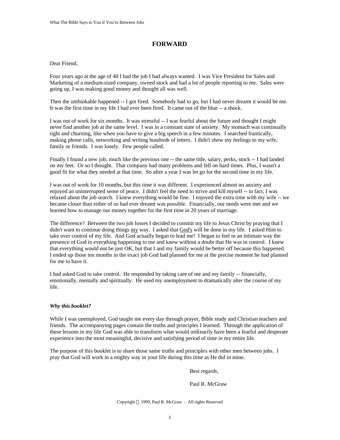### **FORWARD**

#### Dear Friend,

Four years ago at the age of 40 I had the job I had always wanted. I was Vice President for Sales and Marketing of a medium-sized company, owned stock and had a lot of people reporting to me. Sales were going up, I was making good money and thought all was well.

Then the unthinkable happened -- I got fired. Somebody had to go, but I had never dreamt it would be me. It was the first time in my life I had ever been fired. It came out of the blue -- a shock.

I was out of work for six months. It was stressful -- I was fearful about the future and thought I might never find another job at the same level. I was in a constant state of anxiety. My stomach was continually tight and churning, like when you have to give a big speech in a few minutes. I searched frantically, making phone calls, networking and writing hundreds of letters. I didn't show my feelings to my wife, family or friends. I was lonely. Few people called.

Finally I found a new job, much like the previous one -- the same title, salary, perks, stock -- I had landed on my feet. Or so I thought. That company had many problems and fell on hard times. Plus, I wasn't a good fit for what they needed at that time. So after a year I was let go for the second time in my life.

I was out of work for 10 months, but this time it was different. I experienced almost no anxiety and enjoyed an uninterrupted sense of peace. I didn't feel the need to strive and kill myself -- in fact, I was relaxed about the job search. I knew everything would be fine. I enjoyed the extra time with my wife -- we became closer than either of us had ever dreamt was possible. Financially, our needs were met and we learned how to manage our money together for the first time in 20 years of marriage.

The difference? Between the two job losses I decided to commit my life to Jesus Christ by praying that I didn't want to continue doing things my way. I asked that God's will be done in my life. I asked Him to take over control of my life. And God actually began to lead me! I began to feel in an intimate way the presence of God in everything happening to me and knew without a doubt that He was in control. I knew that everything would not be just OK, but that I and my family would be better off because this happened. I ended up those ten months in the exact job God had planned for me at the precise moment he had planned for me to have it.

I had asked God to take control. He responded by taking care of me and my family -- financially, emotionally, mentally and spiritually. He used my unemployment to dramatically alter the course of my life.

#### *Why this booklet?*

While I was unemployed, God taught me every day through prayer, Bible study and Christian teachers and friends. The accompanying pages contain the truths and principles I learned. Through the application of these lessons in my life God was able to transform what would ordinarily have been a fearful and desperate experience into the most meaningful, decisive and satisfying period of time in my entire life.

The purpose of this booklet is to share those same truths and principles with other men between jobs. I pray that God will work in a mighty way in your life during this time as He did in mine.

Best regards,

Paul R. McGraw

Copyright © 1999, Paul R. McGraw - All rights Reserved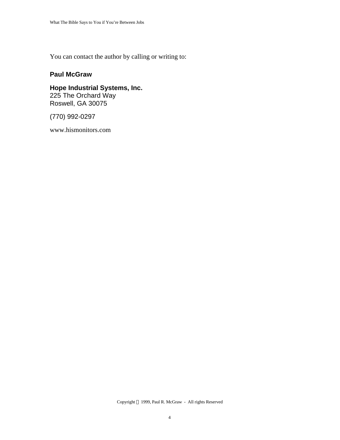You can contact the author by calling or writing to:

### **Paul McGraw**

**Hope Industrial Systems, Inc.** 225 The Orchard Way Roswell, GA 30075

(770) 992-0297

www.hismonitors.com

Copyright 1999, Paul R. McGraw - All rights Reserved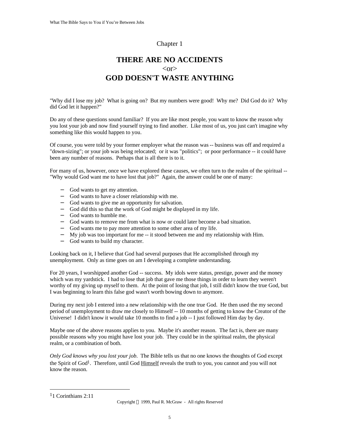# **THERE ARE NO ACCIDENTS**  $\langle$ or $>$ **GOD DOESN'T WASTE ANYTHING**

"Why did I lose my job? What is going on? But my numbers were good! Why me? Did God do it? Why did God let it happen?"

Do any of these questions sound familiar? If you are like most people, you want to know the reason why you lost your job and now find yourself trying to find another. Like most of us, you just can't imagine why something like this would happen to you.

Of course, you were told by your former employer what the reason was -- business was off and required a "down-sizing"; or your job was being relocated; or it was "politics"; or poor performance -- it could have been any number of reasons. Perhaps that is all there is to it.

For many of us, however, once we have explored these causes, we often turn to the realm of the spiritual -- "Why would God want me to have lost that job?" Again, the answer could be one of many:

- − God wants to get my attention.
- − God wants to have a closer relationship with me.
- − God wants to give me an opportunity for salvation.
- − God did this so that the work of God might be displayed in my life.
- − God wants to humble me.
- − God wants to remove me from what is now or could later become a bad situation.
- − God wants me to pay more attention to some other area of my life.
- − My job was too important for me -- it stood between me and my relationship with Him.
- − God wants to build my character.

Looking back on it, I believe that God had several purposes that He accomplished through my unemployment. Only as time goes on am I developing a complete understanding.

For 20 years, I worshipped another God -- success. My idols were status, prestige, power and the money which was my yardstick. I had to lose that job that gave me those things in order to learn they weren't worthy of my giving up myself to them. At the point of losing that job, I still didn't know the true God, but I was beginning to learn this false god wasn't worth bowing down to anymore.

During my next job I entered into a new relationship with the one true God. He then used the my second period of unemployment to draw me closely to Himself -- 10 months of getting to know the Creator of the Universe! I didn't know it would take 10 months to find a job -- I just followed Him day by day.

Maybe one of the above reasons applies to you. Maybe it's another reason. The fact is, there are many possible reasons why you might have lost your job. They could be in the spiritual realm, the physical realm, or a combination of both.

*Only God knows why you lost your job*. The Bible tells us that no one knows the thoughts of God except the Spirit of God<sup>1</sup>. Therefore, until God Himself reveals the truth to you, you cannot and you will not know the reason.

<sup>&</sup>lt;sup>1</sup>1 Corinthians 2:11

Copyright © 1999, Paul R. McGraw - All rights Reserved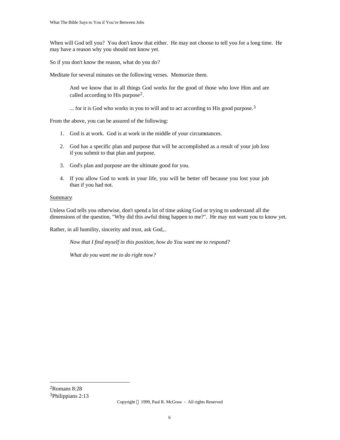When will God tell you? You don't know that either. He may not choose to tell you for a long time. He may have a reason why you should not know yet.

So if you don't know the reason, what do you do?

Meditate for several minutes on the following verses. Memorize them.

And we know that in all things God works for the good of those who love Him and are called according to His purpose2.

 $\ldots$  for it is God who works in you to will and to act according to His good purpose.<sup>3</sup>

From the above, you can be assured of the following:

- 1. God is at work. God is at work in the middle of your circumstances.
- 2. God has a specific plan and purpose that will be accomplished as a result of your job loss if you submit to that plan and purpose.
- 3. God's plan and purpose are the ultimate good for you.
- 4. If you allow God to work in your life, you will be better off because you lost your job than if you had not.

#### Summary:

Unless God tells you otherwise, don't spend a lot of time asking God or trying to understand all the dimensions of the question, "Why did this awful thing happen to me?". He may not want you to know yet.

Rather, in all humility, sincerity and trust, ask God,..

*Now that I find myself in this position, how do You want me to respond?*

*What do you want me to do right now?*

2Romans 8:28

<sup>3</sup>Philippians 2:13

Copyright © 1999, Paul R. McGraw - All rights Reserved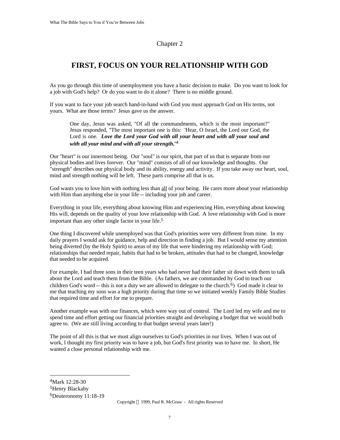# **FIRST, FOCUS ON YOUR RELATIONSHIP WITH GOD**

As you go through this time of unemployment you have a basic decision to make. Do you want to look for a job with God's help? Or do you want to do it alone? There is no middle ground.

If you want to face your job search hand-in-hand with God you must approach God on His terms, not yours. What are those terms? Jesus gave us the answer.

One day, Jesus was asked, "Of all the commandments, which is the most important?" Jesus responded, "The most important one is this: 'Hear, O Israel, the Lord our God, the Lord is one. *Love the Lord your God with all your heart and with all your soul and with all your mind and with all your strength.*" 4

Our "heart" is our innermost being. Our "soul" is our spirit, that part of us that is separate from our physical bodies and lives forever. Our "mind" consists of all of our knowledge and thoughts. Our "strength" describes our physical body and its ability, energy and activity. If you take away our heart, soul, mind and strength nothing will be left. These parts comprise all that is us.

God wants you to love him with nothing less than all of your being. He cares more about your relationship with Him than anything else in your life -- including your job and career.

Everything in your life, everything about knowing Him and experiencing Him, everything about knowing His will, depends on the quality of your love relationship with God. A love relationship with God is more important than any other single factor in your life.5

One thing I discovered while unemployed was that God's priorities were very different from mine. In my daily prayers I would ask for guidance, help and direction in finding a job. But I would sense my attention being diverted (by the Holy Spirit) to areas of my life that were hindering my relationship with God; relationships that needed repair, habits that had to be broken, attitudes that had to be changed, knowledge that needed to be acquired.

For example, I had three sons in their teen years who had never had their father sit down with them to talk about the Lord and teach them from the Bible. (As fathers, we are commanded by God to teach our children God's word -- this is not a duty we are allowed to delegate to the church.<sup>6</sup>) God made it clear to me that teaching my sons was a high priority during that time so we initiated weekly Family Bible Studies that required time and effort for me to prepare.

Another example was with our finances, which were way out of control. The Lord led my wife and me to spend time and effort getting our financial priorities straight and developing a budget that we would both agree to. (We are still living according to that budget several years later!)

The point of all this is that we must align ourselves to God's priorities in our lives. When I was out of work, I thought my first priority was to have a job, but God's first priority was to have me. In short, He wanted a close personal relationship with me.

4Mark 12:28-30

<sup>5</sup>Henry Blackaby

<sup>6</sup>Deuteronomy 11:18-19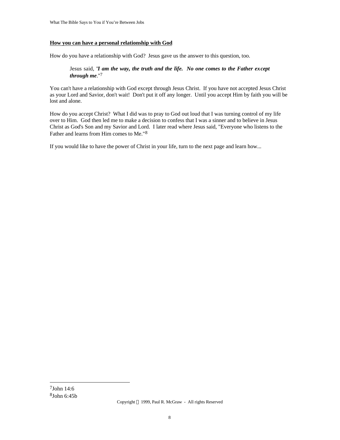#### **How you can have a personal relationship with God**

How do you have a relationship with God? Jesus gave us the answer to this question, too.

#### Jesus said, "*I am the way, the truth and the life. No one comes to the Father except through me*."7

You can't have a relationship with God except through Jesus Christ. If you have not accepted Jesus Christ as your Lord and Savior, don't wait! Don't put it off any longer. Until you accept Him by faith you will be lost and alone.

How do you accept Christ? What I did was to pray to God out loud that I was turning control of my life over to Him. God then led me to make a decision to confess that I was a sinner and to believe in Jesus Christ as God's Son and my Savior and Lord. I later read where Jesus said, "Everyone who listens to the Father and learns from Him comes to Me."8

If you would like to have the power of Christ in your life, turn to the next page and learn how...

<sup>7</sup>John 14:6 8John 6:45b

Copyright 1999, Paul R. McGraw - All rights Reserved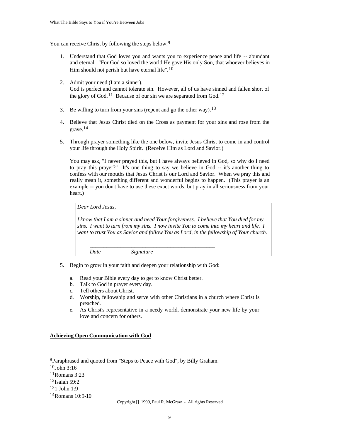You can receive Christ by following the steps below:9

- 1. Understand that God loves you and wants you to experience peace and life -- abundant and eternal. "For God so loved the world He gave His only Son, that whoever believes in Him should not perish but have eternal life".<sup>10</sup>
- 2. Admit your need (I am a sinner). God is perfect and cannot tolerate sin. However, all of us have sinned and fallen short of the glory of God.<sup>11</sup> Because of our sin we are separated from God.<sup>12</sup>
- 3. Be willing to turn from your sins (repent and go the other way).<sup>13</sup>
- 4. Believe that Jesus Christ died on the Cross as payment for your sins and rose from the grave.14
- 5. Through prayer something like the one below, invite Jesus Christ to come in and control your life through the Holy Spirit. (Receive Him as Lord and Savior.)

You may ask, "I never prayed this, but I have always believed in God, so why do I need to pray this prayer?" It's one thing to say we believe in God -- it's another thing to confess with our mouths that Jesus Christ is our Lord and Savior. When we pray this and really mean it, something different and wonderful begins to happen. (This prayer is an example -- you don't have to use these exact words, but pray in all seriousness from your heart.)

*Dear Lord Jesus,*

*I know that I am a sinner and need Your forgiveness. I believe that You died for my sins. I want to turn from my sins. I now invite You to come into my heart and life. I want to trust You as Savior and follow You as Lord, in the fellowship of Your church.*

*Date Signature*

5. Begin to grow in your faith and deepen your relationship with God:

*\_\_\_\_\_\_\_\_\_\_\_\_\_\_\_\_\_\_\_\_\_\_\_\_\_\_\_\_\_\_\_\_\_\_\_\_\_\_\_\_\_\_\_\_\_*

- a. Read your Bible every day to get to know Christ better.
- b. Talk to God in prayer every day.
- c. Tell others about Christ.
- d. Worship, fellowship and serve with other Christians in a church where Christ is preached.
- e. As Christ's representative in a needy world, demonstrate your new life by your love and concern for others.

#### **Achieving Open Communication with God**

<sup>&</sup>lt;sup>9</sup>Paraphrased and quoted from "Steps to Peace with God", by Billy Graham.

<sup>10</sup>John 3:16

<sup>11</sup>Romans 3:23

<sup>12</sup>Isaiah 59:2

<sup>13</sup>1 John 1:9

<sup>14</sup>Romans 10:9-10

Copyright © 1999, Paul R. McGraw - All rights Reserved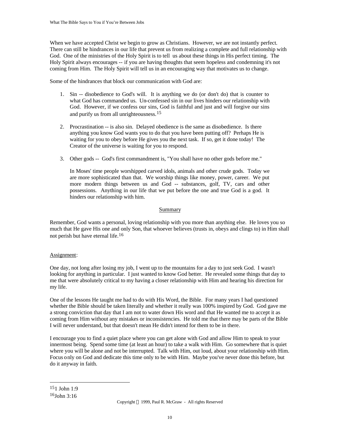When we have accepted Christ we begin to grow as Christians. However, we are not instantly perfect. There can still be hindrances in our life that prevent us from realizing a complete and full relationship with God. One of the ministries of the Holy Spirit is to tell us about these things in His perfect timing. The Holy Spirit always encourages -- if you are having thoughts that seem hopeless and condemning it's not coming from Him. The Holy Spirit will tell us in an encouraging way that motivates us to change.

Some of the hindrances that block our communication with God are:

- 1. Sin -- disobedience to God's will. It is anything we do (or don't do) that is counter to what God has commanded us. Un-confessed sin in our lives hinders our relationship with God. However, if we confess our sins, God is faithful and just and will forgive our sins and purify us from all unrighteousness.15
- 2. Procrastination -- is also sin. Delayed obedience is the same as disobedience. Is there anything you know God wants you to do that you have been putting off? Perhaps He is waiting for you to obey before He gives you the next task. If so, get it done today! The Creator of the universe is waiting for you to respond.
- 3. Other gods -- God's first commandment is, "You shall have no other gods before me."

In Moses' time people worshipped carved idols, animals and other crude gods. Today we are more sophisticated than that. We worship things like money, power, career. We put more modern things between us and God -- substances, golf, TV, cars and other possessions. Anything in our life that we put before the one and true God is a god. It hinders our relationship with him.

### **Summary**

Remember, God wants a personal, loving relationship with you more than anything else. He loves you so much that He gave His one and only Son, that whoever believes (trusts in, obeys and clings to) in Him shall not perish but have eternal life.16

### Assignment:

One day, not long after losing my job, I went up to the mountains for a day to just seek God. I wasn't looking for anything in particular. I just wanted to know God better. He revealed some things that day to me that were absolutely critical to my having a closer relationship with Him and hearing his direction for my life.

One of the lessons He taught me had to do with His Word, the Bible. For many years I had questioned whether the Bible should be taken literally and whether it really was 100% inspired by God. God gave me a strong conviction that day that I am not to water down His word and that He wanted me to accept it as coming from Him without any mistakes or inconsistencies. He told me that there may be parts of the Bible I will never understand, but that doesn't mean He didn't intend for them to be in there.

I encourage you to find a quiet place where you can get alone with God and allow Him to speak to your innermost being. Spend some time (at least an hour) to take a walk with Him. Go somewhere that is quiet where you will be alone and not be interrupted. Talk with Him, out loud, about your relationship with Him. Focus only on God and dedicate this time only to be with Him. Maybe you've never done this before, but do it anyway in faith.

151 John 1:9

<sup>16</sup>John 3:16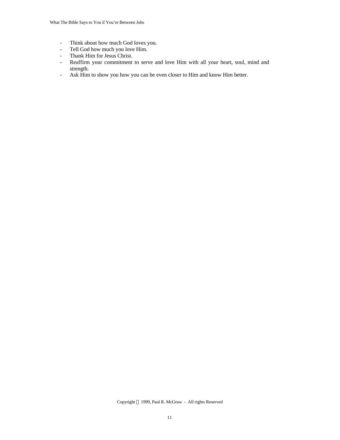- Think about how much God loves you.
- Tell God how much you love Him.
- Thank Him for Jesus Christ.
- Reaffirm your commitment to serve and love Him with all your heart, soul, mind and strength.
- Ask Him to show you how you can be even closer to Him and know Him better.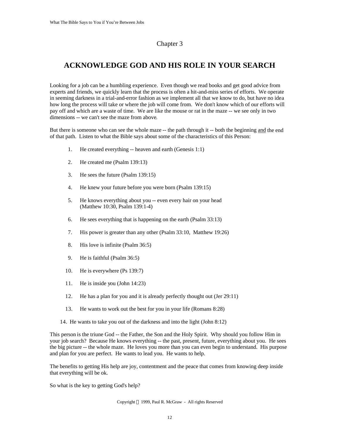# **ACKNOWLEDGE GOD AND HIS ROLE IN YOUR SEARCH**

Looking for a job can be a humbling experience. Even though we read books and get good advice from experts and friends, we quickly learn that the process is often a hit-and-miss series of efforts. We operate in seeming darkness in a trial-and-error fashion as we implement all that we know to do, but have no idea how long the process will take or where the job will come from. We don't know which of our efforts will pay off and which are a waste of time. We are like the mouse or rat in the maze -- we see only in two dimensions -- we can't see the maze from above.

But there is someone who can see the whole maze -- the path through it -- both the beginning and the end of that path. Listen to what the Bible says about some of the characteristics of this Person:

- 1. He created everything -- heaven and earth (Genesis 1:1)
- 2. He created me (Psalm 139:13)
- 3. He sees the future (Psalm 139:15)
- 4. He knew your future before you were born (Psalm 139:15)
- 5. He knows everything about you -- even every hair on your head (Matthew 10:30, Psalm 139:1-4)
- 6. He sees everything that is happening on the earth (Psalm 33:13)
- 7. His power is greater than any other (Psalm 33:10, Matthew 19:26)
- 8. His love is infinite (Psalm 36:5)
- 9. He is faithful (Psalm 36:5)
- 10. He is everywhere (Ps 139:7)
- 11. He is inside you (John 14:23)
- 12. He has a plan for you and it is already perfectly thought out (Jer 29:11)
- 13. He wants to work out the best for you in your life (Romans 8:28)
- 14. He wants to take you out of the darkness and into the light (John 8:12)

This person is the triune God -- the Father, the Son and the Holy Spirit. Why should you follow Him in your job search? Because He knows everything -- the past, present, future, everything about you. He sees the big picture -- the whole maze. He loves you more than you can even begin to understand. His purpose and plan for you are perfect. He wants to lead you. He wants to help.

The benefits to getting His help are joy, contentment and the peace that comes from knowing deep inside that everything will be ok.

So what is the key to getting God's help?

Copyright © 1999, Paul R. McGraw - All rights Reserved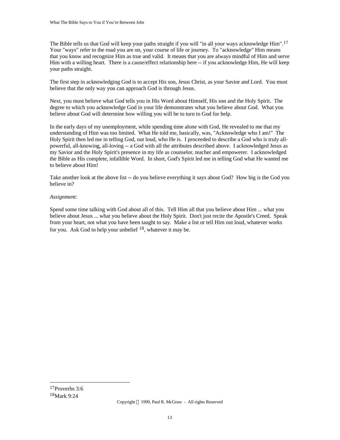The Bible tells us that God will keep your paths straight if you will "in all your ways acknowledge Him".<sup>17</sup> Your "ways" refer to the road you are on, your course of life or journey. To "acknowledge" Him means that you know and recognize Him as true and valid. It means that you are always mindful of Him and serve Him with a willing heart. There is a cause/effect relationship here -- if you acknowledge Him, He will keep your paths straight.

The first step in acknowledging God is to accept His son, Jesus Christ, as your Savior and Lord. You must believe that the only way you can approach God is through Jesus.

Next, you must believe what God tells you in His Word about Himself, His son and the Holy Spirit. The degree to which you acknowledge God in your life demonstrates what you believe about God. What you believe about God will determine how willing you will be to turn to God for help.

In the early days of my unemployment, while spending time alone with God, He revealed to me that my understanding of Him was too limited. What He told me, basically, was, "Acknowledge who I am!" The Holy Spirit then led me in telling God, out loud, who He is. I proceeded to describe a God who is truly allpowerful, all-knowing, all-loving -- a God with all the attributes described above. I acknowledged Jesus as my Savior and the Holy Spirit's presence in my life as counselor, teacher and empowerer. I acknowledged the Bible as His complete, infallible Word. In short, God's Spirit led me in telling God what He wanted me to believe about Him!

Take another look at the above list -- do you believe everything it says about God? How big is the God you believe in?

#### *Assignment:*

Spend some time talking with God about all of this. Tell Him all that you believe about Him ... what you believe about Jesus ... what you believe about the Holy Spirit. Don't just recite the Apostle's Creed. Speak from your heart, not what you have been taught to say. Make a list or tell Him out loud, whatever works for you. Ask God to help your unbelief  $18$ , whatever it may be.

<sup>17</sup>Proverbs 3:6 18Mark 9:24

Copyright © 1999, Paul R. McGraw - All rights Reserved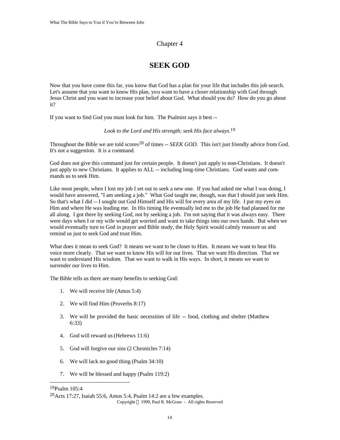# **SEEK GOD**

Now that you have come this far, you know that God has a plan for your life that includes this job search. Let's assume that you want to know His plan, you want to have a closer relationship with God through Jesus Christ and you want to increase your belief about God. What should you do? How do you go about it?

If you want to find God you must look for him. The Psalmist says it best --

*Look to the Lord and His strength; seek His face always.*19

Throughout the Bible we are told scores<sup>20</sup> of times -- *SEEK GOD*. This isn't just friendly advice from God. It's not a suggestion. It is a command.

God does not give this command just for certain people. It doesn't just apply to non-Christians. It doesn't just apply to new Christians. It applies to ALL -- including long-time Christians. God wants and commands us to seek Him.

Like most people, when I lost my job I set out to seek a new one. If you had asked me what I was doing, I would have answered, "I am seeking a job." What God taught me, though, was that I should just seek Him. So that's what I did -- I sought out God Himself and His will for every area of my life. I put my eyes on Him and where He was leading me. In His timing He eventually led me to the job He had planned for me all along. I got there by seeking God, not by seeking a job. I'm not saying that it was always easy. There were days when I or my wife would get worried and want to take things into our own hands. But when we would eventually turn to God in prayer and Bible study, the Holy Spirit would calmly reassure us and remind us just to seek God and trust Him.

What does it mean to seek God? It means we want to be closer to Him. It means we want to hear His voice more clearly. That we want to know His will for our lives. That we want His direction. That we want to understand His wisdom. That we want to walk in His ways. In short, it means we want to surrender our lives to Him.

The Bible tells us there are many benefits to seeking God:

- 1. We will receive life (Amos 5:4)
- 2. We will find Him (Proverbs 8:17)
- 3. We will be provided the basic necessities of life -- food, clothing and shelter (Matthew 6:33)
- 4. God will reward us (Hebrews 11:6)
- 5. God will forgive our sins (2 Chronicles 7:14)
- 6. We will lack no good thing (Psalm 34:10)
- 7. We will be blessed and happy (Psalm 119:2)

19Psalm 105:4

 $20$ Acts 17:27, Isaiah 55:6, Amos 5:4, Psalm 14:2 are a few examples.

Copyright © 1999, Paul R. McGraw - All rights Reserved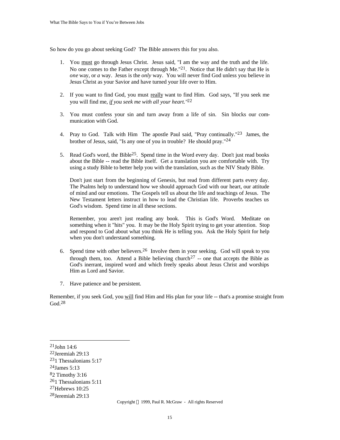So how do you go about seeking God? The Bible answers this for you also.

- 1. You must go through Jesus Christ. Jesus said, "I am the way and the truth and the life. No one comes to the Father except through Me.<sup>"21</sup>. Notice that He didn't say that He is *one* way, or *a* way. Jesus is the *only* way. You will never find God unless you believe in Jesus Christ as your Savior and have turned your life over to Him.
- 2. If you want to find God, you must really want to find Him. God says, "If you seek me you will find me, *if you seek me with all your heart."*22
- 3. You must confess your sin and turn away from a life of sin. Sin blocks our communication with God.
- 4. Pray to God. Talk with Him The apostle Paul said, "Pray continually."<sup>23</sup> James, the brother of Jesus, said, "Is any one of you in trouble? He should pray."24
- 5. Read God's word, the Bible<sup>25</sup>. Spend time in the Word every day. Don't just read books about the Bible -- read the Bible itself. Get a translation you are comfortable with. Try using a study Bible to better help you with the translation, such as the NIV Study Bible.

Don't just start from the beginning of Genesis, but read from different parts every day. The Psalms help to understand how we should approach God with our heart, our attitude of mind and our emotions. The Gospels tell us about the life and teachings of Jesus. The New Testament letters instruct in how to lead the Christian life. Proverbs teaches us God's wisdom. Spend time in all these sections.

Remember, you aren't just reading any book. This is God's Word. Meditate on something when it "hits" you. It may be the Holy Spirit trying to get your attention. Stop and respond to God about what you think He is telling you. Ask the Holy Spirit for help when you don't understand something.

- 6. Spend time with other believers.<sup>26</sup> Involve them in your seeking. God will speak to you through them, too. Attend a Bible believing church<sup>27</sup> -- one that accepts the Bible as God's inerrant, inspired word and which freely speaks about Jesus Christ and worships Him as Lord and Savior.
- 7. Have patience and be persistent.

Remember, if you seek God, you will find Him and His plan for your life -- that's a promise straight from  $God.<sup>28</sup>$ 

 $^{21}$ John 14:6

 $22$ Jeremiah 29:13

<sup>23</sup>1 Thessalonians 5:17

<sup>24</sup>James 5:13

<sup>8</sup>2 Timothy 3:16

<sup>26</sup>1 Thessalonians 5:11

<sup>27</sup>Hebrews 10:25

<sup>28</sup>Jeremiah 29:13

Copyright © 1999, Paul R. McGraw - All rights Reserved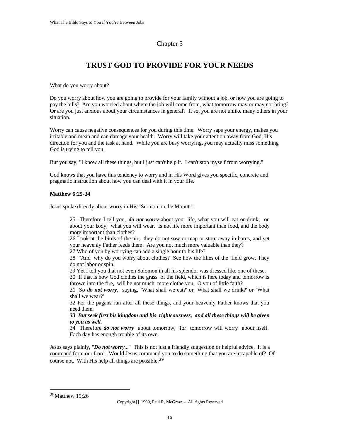# **TRUST GOD TO PROVIDE FOR YOUR NEEDS**

What do you worry about?

Do you worry about how you are going to provide for your family without a job, or how you are going to pay the bills? Are you worried about where the job will come from, what tomorrow may or may not bring? Or are you just anxious about your circumstances in general? If so, you are not unlike many others in your situation.

Worry can cause negative consequences for you during this time. Worry saps your energy, makes you irritable and mean and can damage your health. Worry will take your attention away from God, His direction for you and the task at hand. While you are busy worrying, you may actually miss something God is trying to tell you.

But you say, "I know all these things, but I just can't help it. I can't stop myself from worrying."

God knows that you have this tendency to worry and in His Word gives you specific, concrete and pragmatic instruction about how you can deal with it in your life.

#### **Matthew 6:25-34**

Jesus spoke directly about worry in His "Sermon on the Mount":

25 "Therefore I tell you, *do not worry* about your life, what you will eat or drink; or about your body, what you will wear. Is not life more important than food, and the body more important than clothes?

26 Look at the birds of the air; they do not sow or reap or store away in barns, and yet your heavenly Father feeds them. Are you not much more valuable than they?

27 Who of you by worrying can add a single hour to his life?

28 "And why do you worry about clothes? See how the lilies of the field grow. They do not labor or spin.

29 Yet I tell you that not even Solomon in all his splendor was dressed like one of these.

30 If that is how God clothes the grass of the field, which is here today and tomorrow is thrown into the fire, will he not much more clothe you, O you of little faith?

31 So *do not worry*, saying, `What shall we eat?' or `What shall we drink?' or `What shall we wear?'

32 For the pagans run after all these things, and your heavenly Father knows that you need them.

*33 But seek first his kingdom and his righteousness, and all these things will be given to you as well.*

34 Therefore *do not worry* about tomorrow, for tomorrow will worry about itself. Each day has enough trouble of its own.

Jesus says plainly, "*Do not worry*..." This is not just a friendly suggestion or helpful advice. It is a command from our Lord. Would Jesus command you to do something that you are incapable of? Of course not. With His help all things are possible.<sup>29</sup>

<sup>29</sup>Matthew 19:26

Copyright © 1999, Paul R. McGraw - All rights Reserved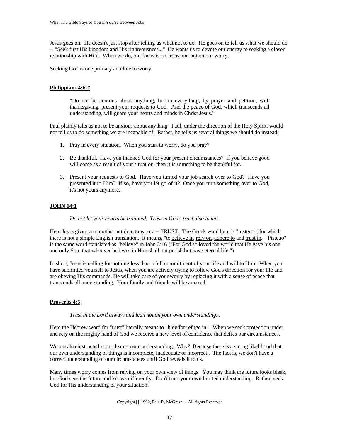Jesus goes on. He doesn't just stop after telling us what not to do. He goes on to tell us what we should do -- "Seek first His kingdom and His righteousness..." He wants us to devote our energy to seeking a closer relationship with Him. When we do, our focus is on Jesus and not on our worry.

Seeking God is one primary antidote to worry.

#### **Philippians 4:6-7**

"Do not be anxious about anything, but in everything, by prayer and petition, with thanksgiving, present your requests to God. And the peace of God, which transcends all understanding, will guard your hearts and minds in Christ Jesus."

Paul plainly tells us not to be anxious about anything. Paul, under the direction of the Holy Spirit, would not tell us to do something we are incapable of. Rather, he tells us several things we should do instead:

- 1. Pray in every situation. When you start to worry, do you pray?
- 2. Be thankful. Have you thanked God for your present circumstances? If you believe good will come as a result of your situation, then it is something to be thankful for.
- 3. Present your requests to God. Have you turned your job search over to God? Have you presented it to Him? If so, have you let go of it? Once you turn something over to God, it's not yours anymore.

#### **JOHN 14:1**

*Do not let your hearts be troubled. Trust in God; trust also in me.*

Here Jesus gives you another antidote to worry -- TRUST. The Greek word here is "pisteuo", for which there is not a simple English translation. It means, "to believe in, rely on, adhere to and trust in. "Pisteuo" is the same word translated as "believe" in John 3:16 ("For God so loved the world that He gave his one and only Son, that whoever believes in Him shall not perish but have eternal life.")

In short, Jesus is calling for nothing less than a full commitment of your life and will to Him. When you have submitted yourself to Jesus, when you are actively trying to follow God's direction for your life and are obeying His commands, He will take care of your worry by replacing it with a sense of peace that transcends all understanding. Your family and friends will be amazed!

#### **Proverbs 4:5**

*Trust in the Lord always and lean not on your own understanding...*

Here the Hebrew word for "trust" literally means to "hide for refuge in". When we seek protection under and rely on the mighty hand of God we receive a new level of confidence that defies our circumstances.

We are also instructed not to lean on our understanding. Why? Because there is a strong likelihood that our own understanding of things is incomplete, inadequate or incorrect . The fact is, we don't have a correct understanding of our circumstances until God reveals it to us.

Many times worry comes from relying on your own view of things. You may think the future looks bleak, but God sees the future and knows differently. Don't trust your own limited understanding. Rather, seek God for His understanding of your situation.

Copyright © 1999, Paul R. McGraw - All rights Reserved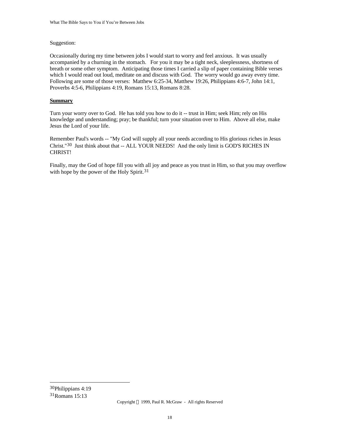#### Suggestion:

Occasionally during my time between jobs I would start to worry and feel anxious. It was usually accompanied by a churning in the stomach. For you it may be a tight neck, sleeplessness, shortness of breath or some other symptom. Anticipating those times I carried a slip of paper containing Bible verses which I would read out loud, meditate on and discuss with God. The worry would go away every time. Following are some of those verses: Matthew 6:25-34, Matthew 19:26, Philippians 4:6-7, John 14:1, Proverbs 4:5-6, Philippians 4:19, Romans 15:13, Romans 8:28.

#### **Summary**

Turn your worry over to God. He has told you how to do it -- trust in Him; seek Him; rely on His knowledge and understanding; pray; be thankful; turn your situation over to Him. Above all else, make Jesus the Lord of your life.

Remember Paul's words -- "My God will supply all your needs according to His glorious riches in Jesus Christ."30 Just think about that -- ALL YOUR NEEDS! And the only limit is GOD'S RICHES IN CHRIST!

Finally, may the God of hope fill you with all joy and peace as you trust in Him, so that you may overflow with hope by the power of the Holy Spirit.<sup>31</sup>

<sup>30</sup>Philippians 4:19

<sup>31</sup>Romans 15:13

Copyright © 1999, Paul R. McGraw - All rights Reserved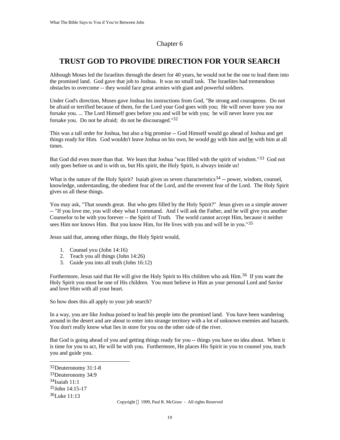# **TRUST GOD TO PROVIDE DIRECTION FOR YOUR SEARCH**

Although Moses led the Israelites through the desert for 40 years, he would not be the one to lead them into the promised land. God gave that job to Joshua. It was no small task. The Israelites had tremendous obstacles to overcome -- they would face great armies with giant and powerful soldiers.

Under God's direction, Moses gave Joshua his instructions from God, "Be strong and courageous. Do not be afraid or terrified because of them, for the Lord your God goes with you; He will never leave you nor forsake you. ... The Lord Himself goes before you and will be with you; he will never leave you nor forsake you. Do not be afraid; do not be discouraged."32

This was a tall order for Joshua, but also a big promise -- God Himself would go ahead of Joshua and get things ready for Him. God wouldn't leave Joshua on his own, he would go with him and be with him at all times.

But God did even more than that. We learn that Joshua "was filled with the spirit of wisdom."<sup>33</sup> God not only goes before us and is with us, but His spirit, the Holy Spirit, is always inside us!

What is the nature of the Holy Spirit? Isaiah gives us seven characteristics<sup>34</sup> -- power, wisdom, counsel, knowledge, understanding, the obedient fear of the Lord, and the reverent fear of the Lord. The Holy Spirit gives us all these things.

You may ask, "That sounds great. But who gets filled by the Holy Spirit?" Jesus gives us a simple answer -- "If you love me, you will obey what I command. And I will ask the Father, and he will give you another Counselor to be with you forever -- the Spirit of Truth. The world cannot accept Him, because it neither sees Him nor knows Him. But you know Him, for He lives with you and will be in you."35

Jesus said that, among other things, the Holy Spirit would,

- 1. Counsel you (John 14:16)
- 2. Teach you all things (John 14:26)
- 3. Guide you into all truth (John 16:12)

Furthermore, Jesus said that He will give the Holy Spirit to His children who ask Him.<sup>36</sup> If you want the Holy Spirit you must be one of His children. You must believe in Him as your personal Lord and Savior and love Him with all your heart.

So how does this all apply to your job search?

In a way, you are like Joshua poised to lead his people into the promised land. You have been wandering around in the desert and are about to enter into strange territory with a lot of unknown enemies and hazards. You don't really know what lies in store for you on the other side of the river.

But God is going ahead of you and getting things ready for you -- things you have no idea about. When it is time for you to act, He will be with you. Furthermore, He places His Spirit in you to counsel you, teach you and guide you.

<sup>32</sup>Deuteronomy 31:1-8

<sup>33</sup>Deuteronomy 34:9

 $34$ Isaiah 11:1

<sup>35</sup>John 14:15-17

<sup>36</sup>Luke 11:13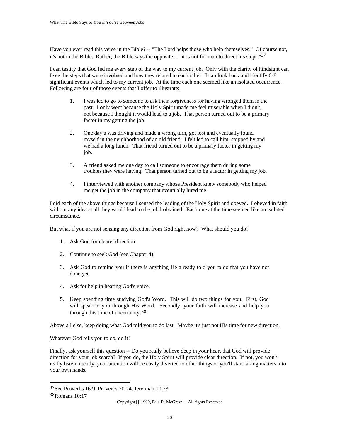Have you ever read this verse in the Bible? -- "The Lord helps those who help themselves." Of course not, it's not in the Bible. Rather, the Bible says the opposite  $-$  "it is not for man to direct his steps."<sup>37</sup>

I can testify that God led me every step of the way to my current job. Only with the clarity of hindsight can I see the steps that were involved and how they related to each other. I can look back and identify 6-8 significant events which led to my current job. At the time each one seemed like an isolated occurrence. Following are four of those events that I offer to illustrate:

- 1. I was led to go to someone to ask their forgiveness for having wronged them in the past. I only went because the Holy Spirit made me feel miserable when I didn't, not because I thought it would lead to a job. That person turned out to be a primary factor in my getting the job.
- 2. One day a was driving and made a wrong turn, got lost and eventually found myself in the neighborhood of an old friend. I felt led to call him, stopped by and we had a long lunch. That friend turned out to be a primary factor in getting my job.
- 3. A friend asked me one day to call someone to encourage them during some troubles they were having. That person turned out to be a factor in getting my job.
- 4. I interviewed with another company whose President knew somebody who helped me get the job in the company that eventually hired me.

I did each of the above things because I sensed the leading of the Holy Spirit and obeyed. I obeyed in faith without any idea at all they would lead to the job I obtained. Each one at the time seemed like an isolated circumstance.

But what if you are not sensing any direction from God right now? What should you do?

- 1. Ask God for clearer direction.
- 2. Continue to seek God (see Chapter 4).
- 3. Ask God to remind you if there is anything He already told you to do that you have not done yet.
- 4. Ask for help in hearing God's voice.
- 5. Keep spending time studying God's Word. This will do two things for you. First, God will speak to you through His Word. Secondly, your faith will increase and help you through this time of uncertainty.38

Above all else, keep doing what God told you to do last. Maybe it's just not His time for new direction.

Whatever God tells you to do, do it!

Finally, ask yourself this question -- Do you really believe deep in your heart that God will provide direction for your job search? If you do, the Holy Spirit will provide clear direction. If not, you won't really listen intently, your attention will be easily diverted to other things or you'll start taking matters into your own hands.

<sup>37</sup>See Proverbs 16:9, Proverbs 20:24, Jeremiah 10:23

<sup>38</sup>Romans 10:17

Copyright © 1999, Paul R. McGraw - All rights Reserved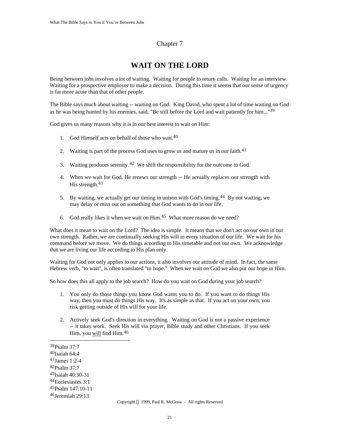# **WAIT ON THE LORD**

Being between jobs involves a lot of waiting. Waiting for people to return calls. Waiting for an interview. Waiting for a prospective employer to make a decision. During this time it seems that our sense of urgency is far more acute than that of other people.

The Bible says much about waiting -- waiting on God. King David, who spent a lot of time waiting on God as he was being hunted by his enemies, said, "Be still before the Lord and wait patiently for him..."39

God gives us many reasons why it is in our best interest to wait on Him:

- 1. God Himself acts on behalf of those who wait.<sup>40</sup>
- 2. Waiting is part of the process God uses to grow us and mature us in our faith.<sup>41</sup>
- 3. Waiting produces serenity.42 We shift the responsibility for the outcome to God.
- 4. When we wait for God, He renews our strength -- He actually replaces our strength with His strength.43
- 5. By waiting, we actually get our timing in unison with God's timing.44 By not waiting, we may delay or miss out on something that God wants to do in our life.
- 6. God really likes it when we wait on Him.45 What more reason do we need?

What does it mean to wait on the Lord? The idea is simple. It means that we don't act on our own in our own strength. Rather, we are continually seeking His will in every situation of our life. We wait for his command before we move. We do things according to His timetable and not our own. We acknowledge that we are living our life according to His plan only.

Waiting for God not only applies to our actions, it also involves our attitude of mind. In fact, the same Hebrew verb, "to wait", is often translated "to hope." When we wait on God we also put our hope in Him.

So how does this all apply to the job search? How do you wait on God during your job search?

- 1. You only do those things you know God wants you to do. If you want to do things His way, then you must do things His way. It's as simple as that. If you act on your own, you risk getting outside of His will for your life.
- 2. Actively seek God's direction in everything. Waiting on God is not a passive experience -- it takes work. Seek His will via prayer, Bible study and other Christians. If you seek Him, you will find Him.46

l

42Psalm 37:7

Copyright © 1999, Paul R. McGraw - All rights Reserved

<sup>39</sup>Psalm 37:7

 $40$ Isaiah 64:4

<sup>41</sup>James 1:2-4

 $43$ Isaiah  $40:30-31$ 

<sup>44</sup>Ecclesiastes 3:1

<sup>45</sup>Psalm 147:10-11

<sup>46</sup>Jeremiah 29:13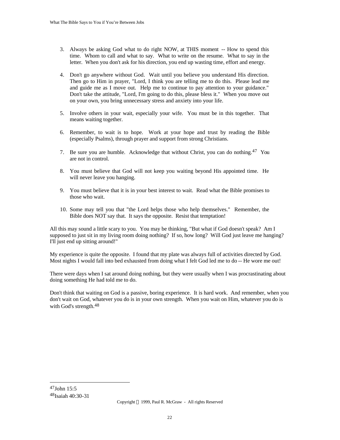- 3. Always be asking God what to do right NOW, at THIS moment -- How to spend this time. Whom to call and what to say. What to write on the resume. What to say in the letter. When you don't ask for his direction, you end up wasting time, effort and energy.
- 4. Don't go anywhere without God. Wait until you believe you understand His direction. Then go to Him in prayer, "Lord, I think you are telling me to do this. Please lead me and guide me as I move out. Help me to continue to pay attention to your guidance." Don't take the attitude, "Lord, I'm going to do this, please bless it." When you move out on your own, you bring unnecessary stress and anxiety into your life.
- 5. Involve others in your wait, especially your wife. You must be in this together. That means waiting together.
- 6. Remember, to wait is to hope. Work at your hope and trust by reading the Bible (especially Psalms), through prayer and support from strong Christians.
- 7. Be sure you are humble. Acknowledge that without Christ, you can do nothing.47 You are not in control.
- 8. You must believe that God will not keep you waiting beyond His appointed time. He will never leave you hanging.
- 9. You must believe that it is in your best interest to wait. Read what the Bible promises to those who wait.
- 10. Some may tell you that "the Lord helps those who help themselves." Remember, the Bible does NOT say that. It says the opposite. Resist that temptation!

All this may sound a little scary to you. You may be thinking, "But what if God doesn't speak? Am I supposed to just sit in my living room doing nothing? If so, how long? Will God just leave me hanging? I'll just end up sitting around!"

My experience is quite the opposite. I found that my plate was always full of activities directed by God. Most nights I would fall into bed exhausted from doing what I felt God led me to do -- He wore me out!

There were days when I sat around doing nothing, but they were usually when I was procrastinating about doing something He had told me to do.

Don't think that waiting on God is a passive, boring experience. It is hard work. And remember, when you don't wait on God, whatever you do is in your own strength. When you wait on Him, whatever you do is with God's strength.<sup>48</sup>

47John 15:5

<sup>48</sup>Isaiah 40:30-31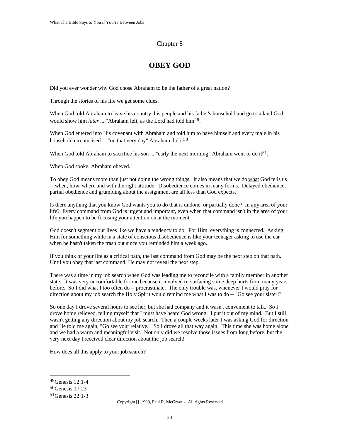# **OBEY GOD**

Did you ever wonder why God chose Abraham to be the father of a great nation?

Through the stories of his life we get some clues.

When God told Abraham to leave his country, his people and his father's household and go to a land God would show him *later* ... "Abraham left, as the Lord had told him<sup>49</sup>.

When God entered into His covenant with Abraham and told him to have himself and every male in his household circumcised ... "on that very day" Abraham did it  $50$ .

When God told Abraham to sacrifice his son ... "early the next morning" Abraham went to do it<sup>51</sup>.

When God spoke, Abraham obeyed.

To obey God means more than just not doing the wrong things. It also means that we do what God tells us -- when, how, where and with the right attitude. Disobedience comes in many forms. Delayed obedience, partial obedience and grumbling about the assignment are all less than God expects.

Is there anything that you know God wants you to do that is undone, or partially done? In any area of your life? Every command from God is urgent and important, even when that command isn't in the area of your life you happen to be focusing your attention on at the moment.

God doesn't segment our lives like we have a tendency to do. For Him, everything is connected. Asking Him for something while in a state of conscious disobedience is like your teenager asking to use the car when he hasn't taken the trash out since you reminded him a week ago.

If you think of your life as a critical path, the last command from God may be the next step on that path. Until you obey that last command, He may not reveal the next step.

There was a time in my job search when God was leading me to reconcile with a family member in another state. It was very uncomfortable for me because it involved re-surfacing some deep hurts from many years before. So I did what I too often do -- procrastinate. The only trouble was, whenever I would pray for direction about my job search the Holy Spirit would remind me what I was to do -- "Go see your sister!"

So one day I drove several hours to see her, but she had company and it wasn't convenient to talk. So I drove home relieved, telling myself that I must have heard God wrong. I put it out of my mind. But I still wasn't getting any direction about my job search. Then a couple weeks later I was asking God for direction and He told me again, "Go see your relative." So I drove all that way again. This time she was home alone and we had a warm and meaningful visit. Not only did we resolve those issues from long before, but the very next day I received clear direction about the job search!

How does all this apply to your job search?

l

Copyright © 1999, Paul R. McGraw - All rights Reserved

<sup>49</sup>Genesis 12:1-4

<sup>50</sup>Genesis 17:23

<sup>51</sup>Genesis 22:1-3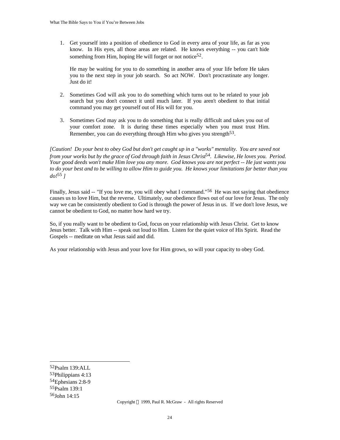1. Get yourself into a position of obedience to God in every area of your life, as far as you know. In His eyes, all those areas are related. He knows everything -- you can't hide something from Him, hoping He will forget or not notice<sup>52</sup>.

He may be waiting for you to do something in another area of your life before He takes you to the next step in your job search. So act NOW. Don't procrastinate any longer. Just do it!

- 2. Sometimes God will ask you to do something which turns out to be related to your job search but you don't connect it until much later. If you aren't obedient to that initial command you may get yourself out of His will for you.
- 3. Sometimes God may ask you to do something that is really difficult and takes you out of your comfort zone. It is during these times especially when you must trust Him. Remember, you can do everything through Him who gives you strength  $53$ .

*[Caution! Do your best to obey God but don't get caught up in a "works" mentality. You are saved not from your works but by the grace of God through faith in Jesus Christ*54*. Likewise, He loves you. Period. Your good deeds won't make Him love you any more. God knows you are not perfect -- He just wants you to do your best and to be willing to allow Him to guide you. He knows your limitations far better than you do!*55 *]*

Finally, Jesus said  $-$  "If you love me, you will obey what I command."<sup>56</sup> He was not saying that obedience causes us to love Him, but the reverse. Ultimately, our obedience flows out of our love for Jesus. The only way we can be consistently obedient to God is through the power of Jesus in us. If we don't love Jesus, we cannot be obedient to God, no matter how hard we try.

So, if you really want to be obedient to God, focus on your relationship with Jesus Christ. Get to know Jesus better. Talk with Him -- speak out loud to Him. Listen for the quiet voice of His Spirit. Read the Gospels -- meditate on what Jesus said and did.

As your relationship with Jesus and your love for Him grows, so will your capacity to obey God.

<sup>52</sup>Psalm 139:ALL

<sup>53</sup>Philippians 4:13

<sup>54</sup>Ephesians 2:8-9

<sup>55</sup>Psalm 139:1

<sup>56</sup>John 14:15

Copyright © 1999, Paul R. McGraw - All rights Reserved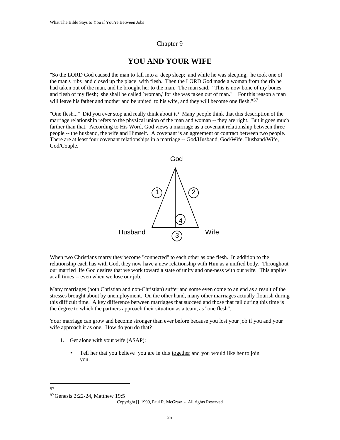# **YOU AND YOUR WIFE**

"So the LORD God caused the man to fall into a deep sleep; and while he was sleeping, he took one of the man's ribs and closed up the place with flesh. Then the LORD God made a woman from the rib he had taken out of the man, and he brought her to the man. The man said, "This is now bone of my bones and flesh of my flesh; she shall be called `woman,' for she was taken out of man." For this reason a man will leave his father and mother and be united to his wife, and they will become one flesh."<sup>57</sup>

"One flesh..." Did you ever stop and really think about it? Many people think that this description of the marriage relationship refers to the physical union of the man and woman -- they are right. But it goes much farther than that. According to His Word, God views a marriage as a covenant relationship between three people -- the husband, the wife and Himself. A covenant is an agreement or contract between two people. There are at least four covenant relationships in a marriage -- God/Husband, God/Wife, Husband/Wife, God/Couple.



When two Christians marry they become "connected" to each other as one flesh. In addition to the relationship each has with God, they now have a new relationship with Him as a unified body. Throughout our married life God desires that we work toward a state of unity and one-ness with our wife. This applies at all times -- even when we lose our job.

Many marriages (both Christian and non-Christian) suffer and some even come to an end as a result of the stresses brought about by unemployment. On the other hand, many other marriages actually flourish during this difficult time. A key difference between marriages that succeed and those that fail during this time is the degree to which the partners approach their situation as a team, as "one flesh".

Your marriage can grow and become stronger than ever before because you lost your job if you and your wife approach it as one. How do you do that?

- 1. Get alone with your wife (ASAP):
	- Tell her that you believe you are in this together and you would like her to join you.

<sup>57</sup>Genesis 2:22-24, Matthew 19:5

Copyright © 1999, Paul R. McGraw - All rights Reserved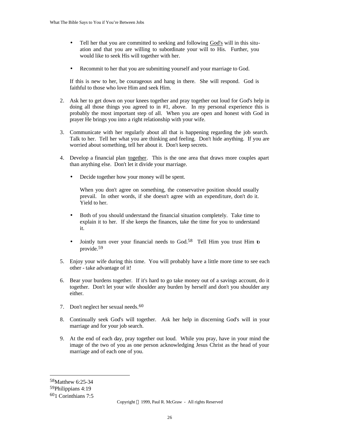- Tell her that you are committed to seeking and following God's will in this situation and that you are willing to subordinate your will to His. Further, you would like to seek His will together with her.
- Recommit to her that you are submitting yourself and your marriage to God.

If this is new to her, be courageous and hang in there. She will respond. God is faithful to those who love Him and seek Him.

- 2. Ask her to get down on your knees together and pray together out loud for God's help in doing all those things you agreed to in #1, above. In my personal experience this is probably the most important step of all. When you are open and honest with God in prayer He brings you into a right relationship with your wife.
- 3. Communicate with her regularly about all that is happening regarding the job search. Talk to her. Tell her what you are thinking and feeling. Don't hide anything. If you are worried about something, tell her about it. Don't keep secrets.
- 4. Develop a financial plan together. This is the one area that draws more couples apart than anything else. Don't let it divide your marriage.
	- Decide together how your money will be spent.

When you don't agree on something, the conservative position should usually prevail. In other words, if she doesn't agree with an expenditure, don't do it. Yield to her.

- Both of you should understand the financial situation completely. Take time to explain it to her. If she keeps the finances, take the time for you to understand it.
- Jointly turn over your financial needs to God.<sup>58</sup> Tell Him you trust Him to provide.59
- 5. Enjoy your wife during this time. You will probably have a little more time to see each other - take advantage of it!
- 6. Bear your burdens together. If it's hard to go take money out of a savings account, do it together. Don't let your wife shoulder any burden by herself and don't you shoulder any either.
- 7. Don't neglect her sexual needs.60
- 8. Continually seek God's will together. Ask her help in discerning God's will in your marriage and for your job search.
- 9. At the end of each day, pray together out loud. While you pray, have in your mind the image of the two of you as one person acknowledging Jesus Christ as the head of your marriage and of each one of you.

<sup>58</sup>Matthew 6:25-34

<sup>59</sup>Philippians 4:19

<sup>60</sup>1 Corinthians 7:5

Copyright © 1999, Paul R. McGraw - All rights Reserved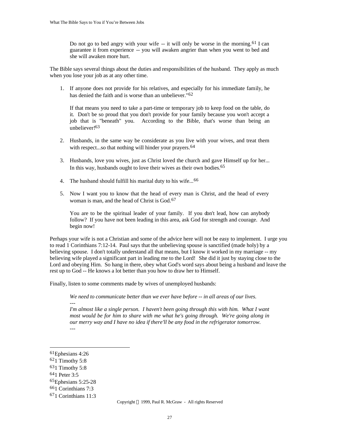Do not go to bed angry with your wife  $-$  it will only be worse in the morning.<sup>61</sup> I can guarantee it from experience -- you will awaken angrier than when you went to bed and she will awaken more hurt.

The Bible says several things about the duties and responsibilities of the husband. They apply as much when you lose your job as at any other time.

1. If anyone does not provide for his relatives, and especially for his immediate family, he has denied the faith and is worse than an unbeliever."<sup>62</sup>

If that means you need to take a part-time or temporary job to keep food on the table, do it. Don't be so proud that you don't provide for your family because you won't accept a job that is "beneath" you. According to the Bible, that's worse than being an unbeliever!63

- 2. Husbands, in the same way be considerate as you live with your wives, and treat them with respect...so that nothing will hinder your prayers.<sup>64</sup>
- 3. Husbands, love you wives, just as Christ loved the church and gave Himself up for her... In this way, husbands ought to love their wives as their own bodies.<sup>65</sup>
- 4. The husband should fulfill his marital duty to his wife...66
- 5. Now I want you to know that the head of every man is Christ, and the head of every woman is man, and the head of Christ is God.<sup>67</sup>

You are to be the spiritual leader of your family. If you don't lead, how can anybody follow? If you have not been leading in this area, ask God for strength and courage. And begin now!

Perhaps your wife is not a Christian and some of the advice here will not be easy to implement. I urge you to read 1 Corinthians 7:12-14. Paul says that the unbelieving spouse is sanctified (made holy) by a believing spouse. I don't totally understand all that means, but I know it worked in my marriage -- my believing wife played a significant part in leading me to the Lord! She did it just by staying close to the Lord and obeying Him. So hang in there, obey what God's word says about being a husband and leave the rest up to God -- He knows a lot better than you how to draw her to Himself.

Finally, listen to some comments made by wives of unemployed husbands:

*We need to communicate better than we ever have before -- in all areas of our lives. ---*

*I'm almost like a single person. I haven't been going through this with him. What I want most would be for him to share with me what he's going through. We're going along in our merry way and I have no idea if there'll be any food in the refrigerator tomorrow. ---*

l

641 Peter 3:5

Copyright © 1999, Paul R. McGraw - All rights Reserved

<sup>61</sup>Ephesians 4:26

 $621$  Timothy 5:8

<sup>63</sup>1 Timothy 5:8

<sup>65</sup>Ephesians 5:25-28

<sup>66</sup>1 Corinthians 7:3

<sup>67</sup>1 Corinthians 11:3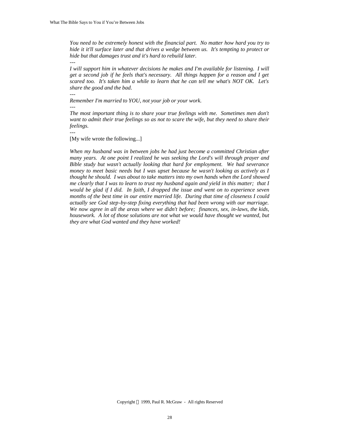*You need to be extremely honest with the financial part. No matter how hard you try to hide it it'll surface later and that drives a wedge between us. It's tempting to protect or hide but that damages trust and it's hard to rebuild later.*

---

*I* will support him in whatever decisions he makes and I'm available for listening. *I* will *get a second job if he feels that's necessary. All things happen for a reason and I get scared too. It's taken him a while to learn that he can tell me what's NOT OK. Let's share the good and the bad.*

*---*

*Remember I'm married to YOU, not your job or your work.*

*---*

The most important thing is to share your true feelings with me. Sometimes men don't *want to admit their true feelings so as not to scare the wife, but they need to share their feelings.*

*---*

[My wife wrote the following...]

*When my husband was in between jobs he had just become a committed Christian after many years. At one point I realized he was seeking the Lord's will through prayer and Bible study but wasn't actually looking that hard for employment. We had severance money to meet basic needs but I was upset because he wasn't looking as actively as I thought he should. I was about to take matters into my own hands when the Lord showed me clearly that I was to learn to trust my husband again and yield in this matter; that I would be glad if I did. In faith, I dropped the issue and went on to experience seven months of the best time in our entire married life. During that time of closeness I could actually see God step-by-step fixing everything that had been wrong with our marriage. We now agree in all the areas where we didn't before; finances, sex, in-laws, the kids, housework.* A lot of those solutions are not what we would have thought we wanted, but *they are what God wanted and they have worked!*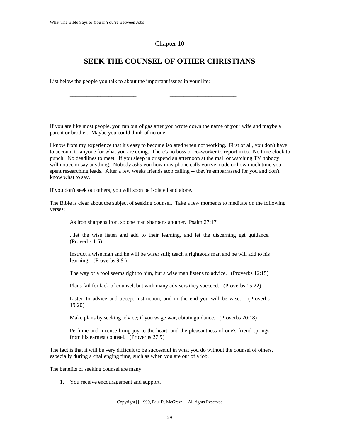# **SEEK THE COUNSEL OF OTHER CHRISTIANS**

List below the people you talk to about the important issues in your life:

If you are like most people, you ran out of gas after you wrote down the name of your wife and maybe a parent or brother. Maybe you could think of no one.

\_\_\_\_\_\_\_\_\_\_\_\_\_\_\_\_\_\_\_\_\_\_\_\_ \_\_\_\_\_\_\_\_\_\_\_\_\_\_\_\_\_\_\_\_\_\_\_\_ \_\_\_\_\_\_\_\_\_\_\_\_\_\_\_\_\_\_\_\_\_\_\_\_ \_\_\_\_\_\_\_\_\_\_\_\_\_\_\_\_\_\_\_\_\_\_\_\_ \_\_\_\_\_\_\_\_\_\_\_\_\_\_\_\_\_\_\_\_\_\_\_\_ \_\_\_\_\_\_\_\_\_\_\_\_\_\_\_\_\_\_\_\_\_\_\_\_

I know from my experience that it's easy to become isolated when not working. First of all, you don't have to account to anyone for what you are doing. There's no boss or co-worker to report in to. No time clock to punch. No deadlines to meet. If you sleep in or spend an afternoon at the mall or watching TV nobody will notice or say anything. Nobody asks you how may phone calls you've made or how much time you spent researching leads. After a few weeks friends stop calling -- they're embarrassed for you and don't know what to say.

If you don't seek out others, you will soon be isolated and alone.

The Bible is clear about the subject of seeking counsel. Take a few moments to meditate on the following verses:

As iron sharpens iron, so one man sharpens another. Psalm 27:17

...let the wise listen and add to their learning, and let the discerning get guidance. (Proverbs 1:5)

Instruct a wise man and he will be wiser still; teach a righteous man and he will add to his learning. (Proverbs 9:9 )

The way of a fool seems right to him, but a wise man listens to advice. (Proverbs 12:15)

Plans fail for lack of counsel, but with many advisers they succeed. (Proverbs 15:22)

Listen to advice and accept instruction, and in the end you will be wise. (Proverbs 19:20)

Make plans by seeking advice; if you wage war, obtain guidance. (Proverbs 20:18)

Perfume and incense bring joy to the heart, and the pleasantness of one's friend springs from his earnest counsel. (Proverbs 27:9)

The fact is that it will be very difficult to be successful in what you do without the counsel of others, especially during a challenging time, such as when you are out of a job.

The benefits of seeking counsel are many:

1. You receive encouragement and support.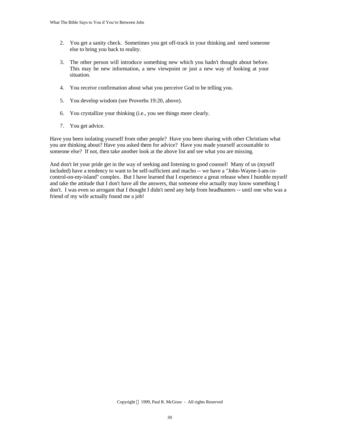- 2. You get a sanity check. Sometimes you get off-track in your thinking and need someone else to bring you back to reality.
- 3. The other person will introduce something new which you hadn't thought about before. This may be new information, a new viewpoint or just a new way of looking at your situation.
- 4. You receive confirmation about what you perceive God to be telling you.
- 5. You develop wisdom (see Proverbs 19:20, above).
- 6. You crystallize your thinking (i.e., you see things more clearly.
- 7. You get advice.

Have you been isolating yourself from other people? Have you been sharing with other Christians what you are thinking about? Have you asked them for advice? Have you made yourself accountable to someone else? If not, then take another look at the above list and see what you are missing.

And don't let your pride get in the way of seeking and listening to good counsel! Many of us (myself included) have a tendency to want to be self-sufficient and macho -- we have a "John-Wayne-I-am-incontrol-on-my-island" complex. But I have learned that I experience a great release when I humble myself and take the attitude that I don't have all the answers, that someone else actually may know something I don't. I was even so arrogant that I thought I didn't need any help from headhunters -- until one who was a friend of my wife actually found me a job!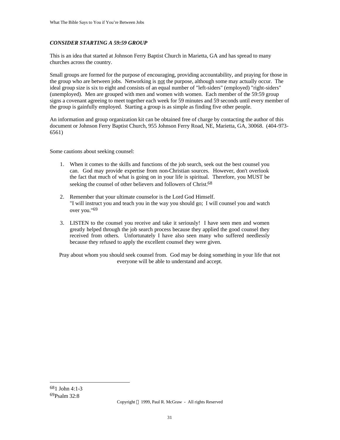#### *CONSIDER STARTING A 59:59 GROUP*

This is an idea that started at Johnson Ferry Baptist Church in Marietta, GA and has spread to many churches across the country.

Small groups are formed for the purpose of encouraging, providing accountability, and praying for those in the group who are between jobs. Networking is not the purpose, although some may actually occur. The ideal group size is six to eight and consists of an equal number of "left-siders" (employed) "right-siders" (unemployed). Men are grouped with men and women with women. Each member of the 59:59 group signs a covenant agreeing to meet together each week for 59 minutes and 59 seconds until every member of the group is gainfully employed. Starting a group is as simple as finding five other people.

An information and group organization kit can be obtained free of charge by contacting the author of this document or Johnson Ferry Baptist Church, 955 Johnson Ferry Road, NE, Marietta, GA, 30068. (404-973- 6561)

Some cautions about seeking counsel:

- 1. When it comes to the skills and functions of the job search, seek out the best counsel you can. God may provide expertise from non-Christian sources. However, don't overlook the fact that much of what is going on in your life is spiritual. Therefore, you MUST be seeking the counsel of other believers and followers of Christ.68
- 2. Remember that your ultimate counselor is the Lord God Himself. "I will instruct you and teach you in the way you should go; I will counsel you and watch over you."69
- 3. LISTEN to the counsel you receive and take it seriously! I have seen men and women greatly helped through the job search process because they applied the good counsel they received from others. Unfortunately I have also seen many who suffered needlessly because they refused to apply the excellent counsel they were given.

Pray about whom you should seek counsel from. God may be doing something in your life that not everyone will be able to understand and accept.

681 John 4:1-3 69Psalm 32:8

Copyright © 1999, Paul R. McGraw - All rights Reserved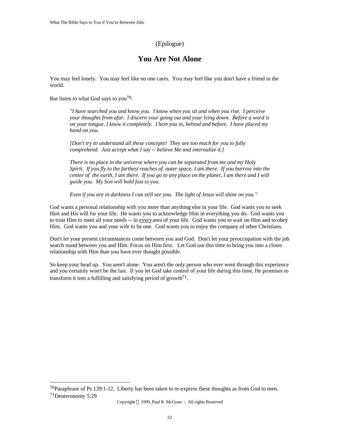## (Epilogue)

# **You Are Not Alone**

You may feel lonely. You may feel like no one cares. You may feel like you don't have a friend in the world.

But listen to what God says to you<sup>70</sup>:

l

*"I have searched you and know you. I know when you sit and when you rise. I perceive your thoughts from afar. I discern your going out and your lying down. Before a word is on your tongue, I know it completely. I hem you in, behind and before. I have placed my hand on you.* 

*[Don't try to understand all these concepts! They are too much for you to fully comprehend. Just accept what I say -- believe Me and internalize it.]*

*There is no place in the universe where you can be separated from me and my Holy Spirit. If you fly to the farthest reaches of outer space, I am there. If you burrow into the center of the earth, I am there. If you go to any place on the planet, I am there and I will guide you. My Son will hold fast to you.*

*Even if you are in darkness I can still see you. The light of Jesus will shine on you."*

God wants a personal relationship with you more than anything else in your life. God wants you to seek Him and His will for your life. He wants you to acknowledge Him in everything you do. God wants you to trust Him to meet all your needs -- in <u>every</u> area of your life. God wants you to wait on Him and to obey Him. God wants you and your wife to be one. God wants you to enjoy the company of other Christians.

Don't let your present circumstances come between you and God. Don't let your preoccupation with the job search stand between you and Him. Focus on Him first. Let God use this time to bring you into a closer relationship with Him than you have ever thought possible.

So keep your head up. You aren't alone. You aren't the only person who ever went through this experience and you certainly won't be the last. If you let God take control of your life during this time, He promises to transform it into a fulfilling and satisfying period of growth<sup>71</sup>.

 $70$ Paraphrase of Ps 139:1-12. Liberty has been taken to re-express these thoughts as from God to men. 71Deuteronomy 5:29

Copyright © 1999, Paul R. McGraw - All rights Reserved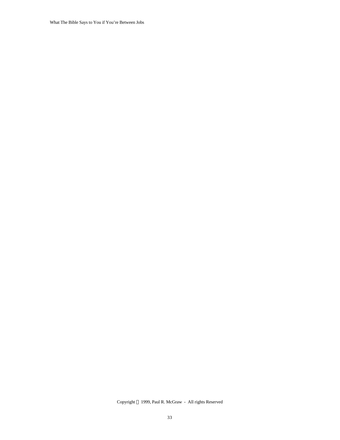What The Bible Says to You if You're Between Jobs

Copyright 1999, Paul R. McGraw - All rights Reserved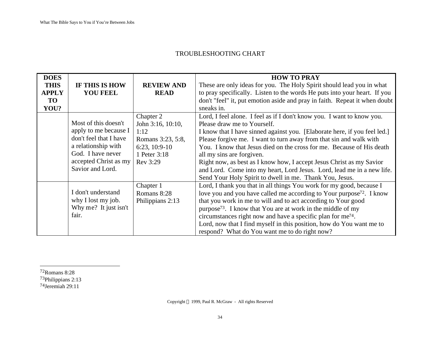# TROUBLESHOOTING CHART

| <b>DOES</b>  |                                                                                                                                                                  |                                                                                                            | <b>HOW TO PRAY</b>                                                                                                                                                                                                                                                                                                                                                                                                                                                                                                                                                  |
|--------------|------------------------------------------------------------------------------------------------------------------------------------------------------------------|------------------------------------------------------------------------------------------------------------|---------------------------------------------------------------------------------------------------------------------------------------------------------------------------------------------------------------------------------------------------------------------------------------------------------------------------------------------------------------------------------------------------------------------------------------------------------------------------------------------------------------------------------------------------------------------|
| <b>THIS</b>  | <b>IF THIS IS HOW</b>                                                                                                                                            | <b>REVIEW AND</b>                                                                                          | These are only ideas for you. The Holy Spirit should lead you in what                                                                                                                                                                                                                                                                                                                                                                                                                                                                                               |
| <b>APPLY</b> | <b>YOU FEEL</b>                                                                                                                                                  | <b>READ</b>                                                                                                | to pray specifically. Listen to the words He puts into your heart. If you                                                                                                                                                                                                                                                                                                                                                                                                                                                                                           |
| <b>TO</b>    |                                                                                                                                                                  |                                                                                                            | don't "feel" it, put emotion aside and pray in faith. Repeat it when doubt                                                                                                                                                                                                                                                                                                                                                                                                                                                                                          |
| YOU?         |                                                                                                                                                                  |                                                                                                            | sneaks in.                                                                                                                                                                                                                                                                                                                                                                                                                                                                                                                                                          |
|              | Most of this doesn't<br>apply to me because I<br>don't feel that I have<br>a relationship with<br>God. I have never<br>accepted Christ as my<br>Savior and Lord. | Chapter 2<br>John 3:16, 10:10,<br>1:12<br>Romans 3:23, 5:8,<br>$6:23, 10:9-10$<br>1 Peter 3:18<br>Rev 3:29 | Lord, I feel alone. I feel as if I don't know you. I want to know you.<br>Please draw me to Yourself.<br>I know that I have sinned against you. [Elaborate here, if you feel led.]<br>Please forgive me. I want to turn away from that sin and walk with<br>You. I know that Jesus died on the cross for me. Because of His death<br>all my sins are forgiven.<br>Right now, as best as I know how, I accept Jesus Christ as my Savior<br>and Lord. Come into my heart, Lord Jesus. Lord, lead me in a new life.                                                    |
|              | I don't understand<br>why I lost my job.<br>Why me? It just isn't<br>fair.                                                                                       | Chapter 1<br>Romans 8:28<br>Philippians 2:13                                                               | Send Your Holy Spirit to dwell in me. Thank You, Jesus.<br>Lord, I thank you that in all things You work for my good, because I<br>love you and you have called me according to Your purpose <sup>72</sup> . I know<br>that you work in me to will and to act according to Your good<br>purpose <sup>73</sup> . I know that You are at work in the middle of my<br>circumstances right now and have a specific plan for me <sup>74</sup> .<br>Lord, now that I find myself in this position, how do You want me to<br>respond? What do You want me to do right now? |

 $\overline{a}$ 

74Jeremiah 29:11

<sup>72</sup>Romans 8:28

<sup>73</sup>Philippians 2:13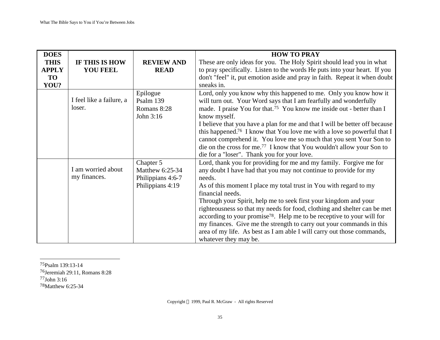| <b>DOES</b>  |                          |                   | <b>HOW TO PRAY</b>                                                                  |
|--------------|--------------------------|-------------------|-------------------------------------------------------------------------------------|
| <b>THIS</b>  | IF THIS IS HOW           | <b>REVIEW AND</b> | These are only ideas for you. The Holy Spirit should lead you in what               |
| <b>APPLY</b> | <b>YOU FEEL</b>          | <b>READ</b>       | to pray specifically. Listen to the words He puts into your heart. If you           |
| <b>TO</b>    |                          |                   | don't "feel" it, put emotion aside and pray in faith. Repeat it when doubt          |
| YOU?         |                          |                   | sneaks in.                                                                          |
|              |                          | Epilogue          | Lord, only you know why this happened to me. Only you know how it                   |
|              | I feel like a failure, a | Psalm 139         | will turn out. Your Word says that I am fearfully and wonderfully                   |
|              | loser.                   | Romans 8:28       | made. I praise You for that. <sup>75</sup> You know me inside out - better than I   |
|              |                          | John 3:16         | know myself.                                                                        |
|              |                          |                   | I believe that you have a plan for me and that I will be better off because         |
|              |                          |                   | this happened. <sup>76</sup> I know that You love me with a love so powerful that I |
|              |                          |                   | cannot comprehend it. You love me so much that you sent Your Son to                 |
|              |                          |                   | die on the cross for me. <sup>77</sup> I know that You wouldn't allow your Son to   |
|              |                          |                   | die for a "loser". Thank you for your love.                                         |
|              |                          | Chapter 5         | Lord, thank you for providing for me and my family. For give me for                 |
|              | I am worried about       | Matthew 6:25-34   | any doubt I have had that you may not continue to provide for my                    |
|              | my finances.             | Philippians 4:6-7 | needs.                                                                              |
|              |                          | Philippians 4:19  | As of this moment I place my total trust in You with regard to my                   |
|              |                          |                   | financial needs.                                                                    |
|              |                          |                   | Through your Spirit, help me to seek first your kingdom and your                    |
|              |                          |                   | righteousness so that my needs for food, clothing and shelter can be met            |
|              |                          |                   | according to your promise <sup>78</sup> . Help me to be receptive to your will for  |
|              |                          |                   | my finances. Give me the strength to carry out your commands in this                |
|              |                          |                   | area of my life. As best as I am able I will carry out those commands,              |
|              |                          |                   | whatever they may be.                                                               |

77John 3:16

 $\overline{a}$ 

<sup>75</sup>Psalm 139:13-14

<sup>76</sup>Jeremiah 29:11, Romans 8:28

<sup>78</sup>Matthew 6:25-34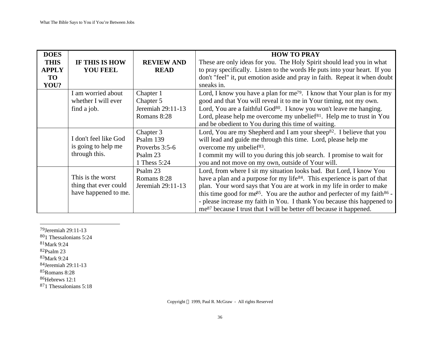| <b>DOES</b>  |                       |                   | <b>HOW TO PRAY</b>                                                                               |
|--------------|-----------------------|-------------------|--------------------------------------------------------------------------------------------------|
| <b>THIS</b>  | IF THIS IS HOW        | <b>REVIEW AND</b> | These are only ideas for you. The Holy Spirit should lead you in what                            |
| <b>APPLY</b> | <b>YOU FEEL</b>       | <b>READ</b>       | to pray specifically. Listen to the words He puts into your heart. If you                        |
| <b>TO</b>    |                       |                   | don't "feel" it, put emotion aside and pray in faith. Repeat it when doubt                       |
| YOU?         |                       |                   | sneaks in.                                                                                       |
|              | I am worried about    | Chapter 1         | Lord, I know you have a plan for me <sup><math>79</math></sup> . I know that Your plan is for my |
|              | whether I will ever   | Chapter 5         | good and that You will reveal it to me in Your timing, not my own.                               |
|              | find a job.           | Jeremiah 29:11-13 | Lord, You are a faithful God <sup>80</sup> . I know you won't leave me hanging.                  |
|              |                       | Romans 8:28       | Lord, please help me overcome my unbelief <sup>81</sup> . Help me to trust in You                |
|              |                       |                   | and be obedient to You during this time of waiting.                                              |
|              |                       | Chapter 3         | Lord, You are my Shepherd and I am your sheep <sup>82</sup> . I believe that you                 |
|              | I don't feel like God | Psalm 139         | will lead and guide me through this time. Lord, please help me                                   |
|              | is going to help me   | Proverbs 3:5-6    | overcome my unbelief <sup>83</sup> .                                                             |
|              | through this.         | Psalm 23          | I commit my will to you during this job search. I promise to wait for                            |
|              |                       | 1 Thess 5:24      | you and not move on my own, outside of Your will.                                                |
|              |                       | Psalm 23          | Lord, from where I sit my situation looks bad. But Lord, I know You                              |
|              | This is the worst     | Romans 8:28       | have a plan and a purpose for my life <sup>84</sup> . This experience is part of that            |
|              | thing that ever could | Jeremiah 29:11-13 | plan. Your word says that You are at work in my life in order to make                            |
|              | have happened to me.  |                   | this time good for me <sup>85</sup> . You are the author and perfecter of my faith $86 - 1$      |
|              |                       |                   | - please increase my faith in You. I thank You because this happened to                          |
|              |                       |                   | me <sup>87</sup> because I trust that I will be better off because it happened.                  |

79Jeremiah 29:11-13

801 Thessalonians 5:24

81Mark 9:24

 $\overline{a}$ 

82Psalm 23

83Mark 9:24

84Jeremiah 29:11-13

85Romans 8:28

86Hebrews 12:1

871 Thessalonians 5:18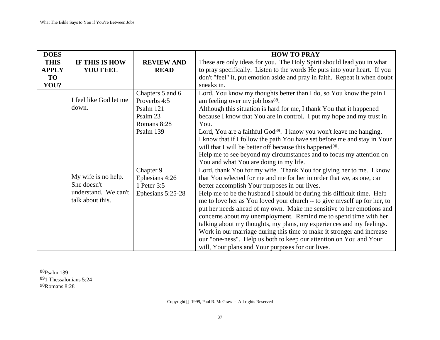| <b>DOES</b>  |                        |                   | <b>HOW TO PRAY</b>                                                              |
|--------------|------------------------|-------------------|---------------------------------------------------------------------------------|
| <b>THIS</b>  | IF THIS IS HOW         | <b>REVIEW AND</b> | These are only ideas for you. The Holy Spirit should lead you in what           |
| <b>APPLY</b> | <b>YOU FEEL</b>        | <b>READ</b>       | to pray specifically. Listen to the words He puts into your heart. If you       |
| <b>TO</b>    |                        |                   | don't "feel" it, put emotion aside and pray in faith. Repeat it when doubt      |
| YOU?         |                        |                   | sneaks in.                                                                      |
|              |                        | Chapters 5 and 6  | Lord, You know my thoughts better than I do, so You know the pain I             |
|              | I feel like God let me | Proverbs 4:5      | am feeling over my job loss <sup>88</sup> .                                     |
|              | down.                  | Psalm 121         | Although this situation is hard for me, I thank You that it happened            |
|              |                        | Psalm 23          | because I know that You are in control. I put my hope and my trust in           |
|              |                        | Romans 8:28       | You.                                                                            |
|              |                        | Psalm 139         | Lord, You are a faithful God <sup>89</sup> . I know you won't leave me hanging. |
|              |                        |                   | I know that if I follow the path You have set before me and stay in Your        |
|              |                        |                   | will that I will be better off because this happened <sup>90</sup> .            |
|              |                        |                   | Help me to see beyond my circumstances and to focus my attention on             |
|              |                        |                   | You and what You are doing in my life.                                          |
|              |                        | Chapter 9         | Lord, thank You for my wife. Thank You for giving her to me. I know             |
|              | My wife is no help.    | Ephesians 4:26    | that You selected for me and me for her in order that we, as one, can           |
|              | She doesn't            | 1 Peter 3:5       | better accomplish Your purposes in our lives.                                   |
|              | understand. We can't   | Ephesians 5:25-28 | Help me to be the husband I should be during this difficult time. Help          |
|              | talk about this.       |                   | me to love her as You loved your church -- to give myself up for her, to        |
|              |                        |                   | put her needs ahead of my own. Make me sensitive to her emotions and            |
|              |                        |                   | concerns about my unemployment. Remind me to spend time with her                |
|              |                        |                   | talking about my thoughts, my plans, my experiences and my feelings.            |
|              |                        |                   | Work in our marriage during this time to make it stronger and increase          |
|              |                        |                   | our "one-ness". Help us both to keep our attention on You and Your              |
|              |                        |                   | will, Your plans and Your purposes for our lives.                               |

88Psalm 139

 $\overline{a}$ 

891 Thessalonians 5:24

90Romans 8:28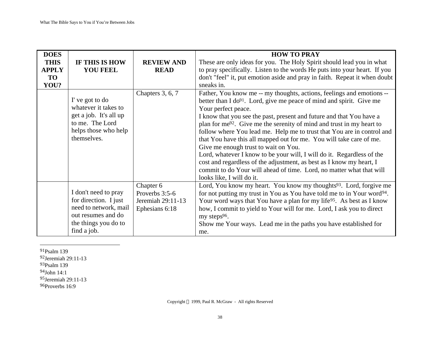| <b>DOES</b>  |                        |                   | <b>HOW TO PRAY</b>                                                                  |
|--------------|------------------------|-------------------|-------------------------------------------------------------------------------------|
| <b>THIS</b>  | IF THIS IS HOW         | <b>REVIEW AND</b> | These are only ideas for you. The Holy Spirit should lead you in what               |
| <b>APPLY</b> | <b>YOU FEEL</b>        | <b>READ</b>       | to pray specifically. Listen to the words He puts into your heart. If you           |
| <b>TO</b>    |                        |                   | don't "feel" it, put emotion aside and pray in faith. Repeat it when doubt          |
| YOU?         |                        |                   | sneaks in.                                                                          |
|              |                        | Chapters 3, 6, 7  | Father, You know me -- my thoughts, actions, feelings and emotions --               |
|              | I've got to do         |                   | better than I do <sup>91</sup> . Lord, give me peace of mind and spirit. Give me    |
|              | whatever it takes to   |                   | Your perfect peace.                                                                 |
|              | get a job. It's all up |                   | I know that you see the past, present and future and that You have a                |
|              | to me. The Lord        |                   | plan for me <sup>92</sup> . Give me the serenity of mind and trust in my heart to   |
|              | helps those who help   |                   | follow where You lead me. Help me to trust that You are in control and              |
|              | themselves.            |                   | that You have this all mapped out for me. You will take care of me.                 |
|              |                        |                   | Give me enough trust to wait on You.                                                |
|              |                        |                   | Lord, whatever I know to be your will, I will do it. Regardless of the              |
|              |                        |                   | cost and regardless of the adjustment, as best as I know my heart, I                |
|              |                        |                   | commit to do Your will ahead of time. Lord, no matter what that will                |
|              |                        |                   | looks like, I will do it.                                                           |
|              |                        | Chapter 6         | Lord, You know my heart. You know my thoughts <sup>93</sup> . Lord, forgive me      |
|              | I don't need to pray   | Proverbs 3:5-6    | for not putting my trust in You as You have told me to in Your word <sup>94</sup> . |
|              | for direction. I just  | Jeremiah 29:11-13 | Your word ways that You have a plan for my life <sup>95</sup> . As best as I know   |
|              | need to network, mail  | Ephesians 6:18    | how, I commit to yield to Your will for me. Lord, I ask you to direct               |
|              | out resumes and do     |                   | my steps $96$ .                                                                     |
|              | the things you do to   |                   | Show me Your ways. Lead me in the paths you have established for                    |
|              | find a job.            |                   | me.                                                                                 |

91Psalm 139

l

92Jeremiah 29:11-13

93Psalm 139

94John 14:1

95Jeremiah 29:11-13

96Proverbs 16:9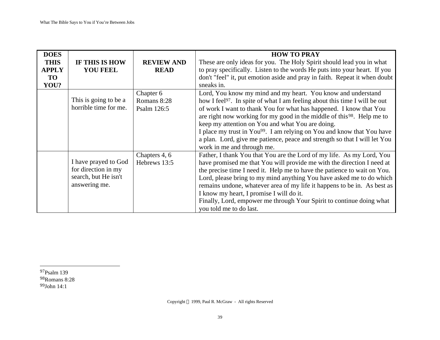| <b>DOES</b>  |                       |                   | <b>HOW TO PRAY</b>                                                                     |
|--------------|-----------------------|-------------------|----------------------------------------------------------------------------------------|
| <b>THIS</b>  | IF THIS IS HOW        | <b>REVIEW AND</b> | These are only ideas for you. The Holy Spirit should lead you in what                  |
| <b>APPLY</b> | <b>YOU FEEL</b>       | <b>READ</b>       | to pray specifically. Listen to the words He puts into your heart. If you              |
| <b>TO</b>    |                       |                   | don't "feel" it, put emotion aside and pray in faith. Repeat it when doubt             |
| YOU?         |                       |                   | sneaks in.                                                                             |
|              |                       | Chapter 6         | Lord, You know my mind and my heart. You know and understand                           |
|              | This is going to be a | Romans 8:28       | how I feel <sup>97</sup> . In spite of what I am feeling about this time I will be out |
|              | horrible time for me. | Psalm 126:5       | of work I want to thank You for what has happened. I know that You                     |
|              |                       |                   | are right now working for my good in the middle of this <sup>98</sup> . Help me to     |
|              |                       |                   | keep my attention on You and what You are doing.                                       |
|              |                       |                   | I place my trust in You <sup>99</sup> . I am relying on You and know that You have     |
|              |                       |                   | a plan. Lord, give me patience, peace and strength so that I will let You              |
|              |                       |                   | work in me and through me.                                                             |
|              |                       | Chapters 4, 6     | Father, I thank You that You are the Lord of my life. As my Lord, You                  |
|              | I have prayed to God  | Hebrews 13:5      | have promised me that You will provide me with the direction I need at                 |
|              | for direction in my   |                   | the precise time I need it. Help me to have the patience to wait on You.               |
|              | search, but He isn't  |                   | Lord, please bring to my mind anything You have asked me to do which                   |
|              | answering me.         |                   | remains undone, whatever area of my life it happens to be in. As best as               |
|              |                       |                   | I know my heart, I promise I will do it.                                               |
|              |                       |                   | Finally, Lord, empower me through Your Spirit to continue doing what                   |
|              |                       |                   | you told me to do last.                                                                |

97Psalm 139

 $\overline{a}$ 

98Romans 8:28

99John 14:1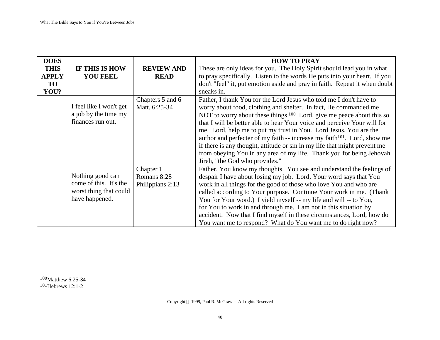| <b>DOES</b>  |                         |                   | <b>HOW TO PRAY</b>                                                                   |
|--------------|-------------------------|-------------------|--------------------------------------------------------------------------------------|
| <b>THIS</b>  | <b>IF THIS IS HOW</b>   | <b>REVIEW AND</b> | These are only ideas for you. The Holy Spirit should lead you in what                |
| <b>APPLY</b> | <b>YOU FEEL</b>         | <b>READ</b>       | to pray specifically. Listen to the words He puts into your heart. If you            |
| <b>TO</b>    |                         |                   | don't "feel" it, put emotion aside and pray in faith. Repeat it when doubt           |
| YOU?         |                         |                   | sneaks in.                                                                           |
|              |                         | Chapters 5 and 6  | Father, I thank You for the Lord Jesus who told me I don't have to                   |
|              | I feel like I won't get | Matt. 6:25-34     | worry about food, clothing and shelter. In fact, He commanded me                     |
|              | a job by the time my    |                   | NOT to worry about these things. <sup>100</sup> Lord, give me peace about this so    |
|              | finances run out.       |                   | that I will be better able to hear Your voice and perceive Your will for             |
|              |                         |                   | me. Lord, help me to put my trust in You. Lord Jesus, You are the                    |
|              |                         |                   | author and perfecter of my faith -- increase my faith <sup>101</sup> . Lord, show me |
|              |                         |                   | if there is any thought, attitude or sin in my life that might prevent me            |
|              |                         |                   | from obeying You in any area of my life. Thank you for being Jehovah                 |
|              |                         |                   | Jireh, "the God who provides."                                                       |
|              |                         | Chapter 1         | Father, You know my thoughts. You see and understand the feelings of                 |
|              | Nothing good can        | Romans 8:28       | despair I have about losing my job. Lord, Your word says that You                    |
|              | come of this. It's the  | Philippians 2:13  | work in all things for the good of those who love You and who are                    |
|              | worst thing that could  |                   | called according to Your purpose. Continue Your work in me. (Thank                   |
|              | have happened.          |                   | You for Your word.) I yield myself -- my life and will -- to You,                    |
|              |                         |                   | for You to work in and through me. I am not in this situation by                     |
|              |                         |                   | accident. Now that I find myself in these circumstances, Lord, how do                |
|              |                         |                   | You want me to respond? What do You want me to do right now?                         |

100Matthew 6:25-34 101Hebrews 12:1-2

 $\overline{a}$